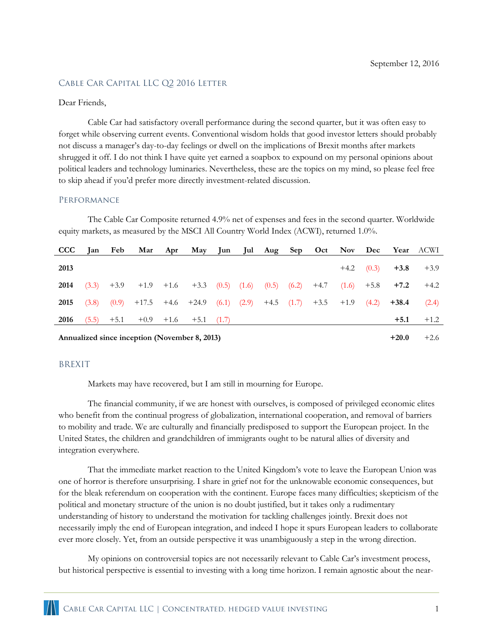# CABLE CAR CAPITAL LLC Q2 2016 LETTER

#### Dear Friends,

Cable Car had satisfactory overall performance during the second quarter, but it was often easy to forget while observing current events. Conventional wisdom holds that good investor letters should probably not discuss a manager's day-to-day feelings or dwell on the implications of Brexit months after markets shrugged it off. I do not think I have quite yet earned a soapbox to expound on my personal opinions about political leaders and technology luminaries. Nevertheless, these are the topics on my mind, so please feel free to skip ahead if you'd prefer more directly investment-related discussion.

## Performance

The Cable Car Composite returned 4.9% net of expenses and fees in the second quarter. Worldwide equity markets, as measured by the MSCI All Country World Index (ACWI), returned 1.0%.

| ccc  | <b>Ian Feb</b> | Mar Apr May Jun Jul Aug Sep Oct Nov Dec Year ACWI                                     |  |  |  |  |                     |        |
|------|----------------|---------------------------------------------------------------------------------------|--|--|--|--|---------------------|--------|
| 2013 |                |                                                                                       |  |  |  |  | $+4.2$ (0.3) $+3.8$ | $+3.9$ |
| 2014 |                | $(3.3)$ +3.9 +1.9 +1.6 +3.3 (0.5) (1.6) (0.5) (6.2) +4.7 (1.6) +5.8 +7.2              |  |  |  |  |                     | $+4.2$ |
| 2015 |                | $(3.8)$ $(0.9)$ +17.5 +4.6 +24.9 $(6.1)$ $(2.9)$ +4.5 $(1.7)$ +3.5 +1.9 $(4.2)$ +38.4 |  |  |  |  |                     | (2.4)  |
| 2016 |                | $(5.5)$ +5.1 +0.9 +1.6 +5.1 (1.7)                                                     |  |  |  |  | $+5.1$              | $+1.2$ |
|      |                |                                                                                       |  |  |  |  |                     |        |

**Annualized since inception (November 8, 2013) +20.0** +2.6

# BREXIT

Markets may have recovered, but I am still in mourning for Europe.

The financial community, if we are honest with ourselves, is composed of privileged economic elites who benefit from the continual progress of globalization, international cooperation, and removal of barriers to mobility and trade. We are culturally and financially predisposed to support the European project. In the United States, the children and grandchildren of immigrants ought to be natural allies of diversity and integration everywhere.

That the immediate market reaction to the United Kingdom's vote to leave the European Union was one of horror is therefore unsurprising. I share in grief not for the unknowable economic consequences, but for the bleak referendum on cooperation with the continent. Europe faces many difficulties; skepticism of the political and monetary structure of the union is no doubt justified, but it takes only a rudimentary understanding of history to understand the motivation for tackling challenges jointly. Brexit does not necessarily imply the end of European integration, and indeed I hope it spurs European leaders to collaborate ever more closely. Yet, from an outside perspective it was unambiguously a step in the wrong direction.

My opinions on controversial topics are not necessarily relevant to Cable Car's investment process, but historical perspective is essential to investing with a long time horizon. I remain agnostic about the near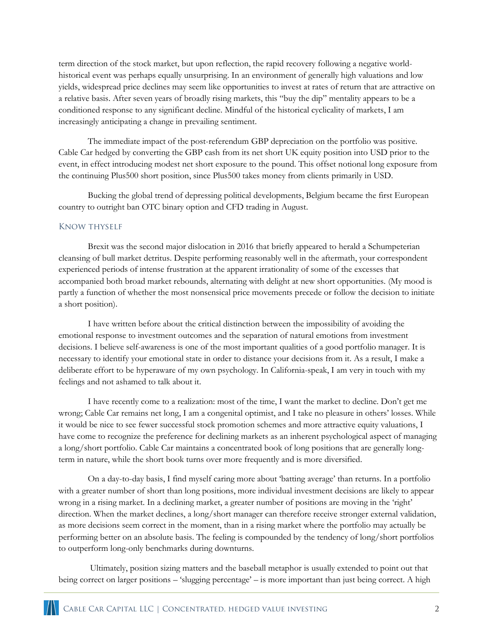term direction of the stock market, but upon reflection, the rapid recovery following a negative worldhistorical event was perhaps equally unsurprising. In an environment of generally high valuations and low yields, widespread price declines may seem like opportunities to invest at rates of return that are attractive on a relative basis. After seven years of broadly rising markets, this "buy the dip" mentality appears to be a conditioned response to any significant decline. Mindful of the historical cyclicality of markets, I am increasingly anticipating a change in prevailing sentiment.

The immediate impact of the post-referendum GBP depreciation on the portfolio was positive. Cable Car hedged by converting the GBP cash from its net short UK equity position into USD prior to the event, in effect introducing modest net short exposure to the pound. This offset notional long exposure from the continuing Plus500 short position, since Plus500 takes money from clients primarily in USD.

Bucking the global trend of depressing political developments, Belgium became the first European country to outright ban OTC binary option and CFD trading in August.

#### Know thyself

Brexit was the second major dislocation in 2016 that briefly appeared to herald a Schumpeterian cleansing of bull market detritus. Despite performing reasonably well in the aftermath, your correspondent experienced periods of intense frustration at the apparent irrationality of some of the excesses that accompanied both broad market rebounds, alternating with delight at new short opportunities. (My mood is partly a function of whether the most nonsensical price movements precede or follow the decision to initiate a short position).

I have written before about the critical distinction between the impossibility of avoiding the emotional response to investment outcomes and the separation of natural emotions from investment decisions. I believe self-awareness is one of the most important qualities of a good portfolio manager. It is necessary to identify your emotional state in order to distance your decisions from it. As a result, I make a deliberate effort to be hyperaware of my own psychology. In California-speak, I am very in touch with my feelings and not ashamed to talk about it.

I have recently come to a realization: most of the time, I want the market to decline. Don't get me wrong; Cable Car remains net long, I am a congenital optimist, and I take no pleasure in others' losses. While it would be nice to see fewer successful stock promotion schemes and more attractive equity valuations, I have come to recognize the preference for declining markets as an inherent psychological aspect of managing a long/short portfolio. Cable Car maintains a concentrated book of long positions that are generally longterm in nature, while the short book turns over more frequently and is more diversified.

On a day-to-day basis, I find myself caring more about 'batting average' than returns. In a portfolio with a greater number of short than long positions, more individual investment decisions are likely to appear wrong in a rising market. In a declining market, a greater number of positions are moving in the 'right' direction. When the market declines, a long/short manager can therefore receive stronger external validation, as more decisions seem correct in the moment, than in a rising market where the portfolio may actually be performing better on an absolute basis. The feeling is compounded by the tendency of long/short portfolios to outperform long-only benchmarks during downturns.

Ultimately, position sizing matters and the baseball metaphor is usually extended to point out that being correct on larger positions – 'slugging percentage' – is more important than just being correct. A high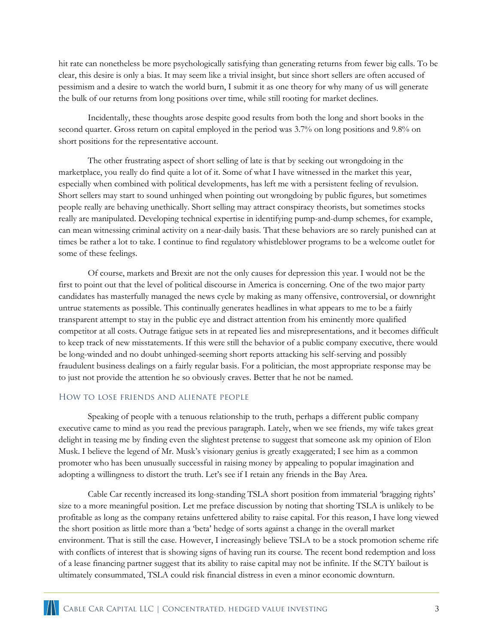hit rate can nonetheless be more psychologically satisfying than generating returns from fewer big calls. To be clear, this desire is only a bias. It may seem like a trivial insight, but since short sellers are often accused of pessimism and a desire to watch the world burn, I submit it as one theory for why many of us will generate the bulk of our returns from long positions over time, while still rooting for market declines.

Incidentally, these thoughts arose despite good results from both the long and short books in the second quarter. Gross return on capital employed in the period was 3.7% on long positions and 9.8% on short positions for the representative account.

The other frustrating aspect of short selling of late is that by seeking out wrongdoing in the marketplace, you really do find quite a lot of it. Some of what I have witnessed in the market this year, especially when combined with political developments, has left me with a persistent feeling of revulsion. Short sellers may start to sound unhinged when pointing out wrongdoing by public figures, but sometimes people really are behaving unethically. Short selling may attract conspiracy theorists, but sometimes stocks really are manipulated. Developing technical expertise in identifying pump-and-dump schemes, for example, can mean witnessing criminal activity on a near-daily basis. That these behaviors are so rarely punished can at times be rather a lot to take. I continue to find regulatory whistleblower programs to be a welcome outlet for some of these feelings.

Of course, markets and Brexit are not the only causes for depression this year. I would not be the first to point out that the level of political discourse in America is concerning. One of the two major party candidates has masterfully managed the news cycle by making as many offensive, controversial, or downright untrue statements as possible. This continually generates headlines in what appears to me to be a fairly transparent attempt to stay in the public eye and distract attention from his eminently more qualified competitor at all costs. Outrage fatigue sets in at repeated lies and misrepresentations, and it becomes difficult to keep track of new misstatements. If this were still the behavior of a public company executive, there would be long-winded and no doubt unhinged-seeming short reports attacking his self-serving and possibly fraudulent business dealings on a fairly regular basis. For a politician, the most appropriate response may be to just not provide the attention he so obviously craves. Better that he not be named.

#### How to lose friends and alienate people

Speaking of people with a tenuous relationship to the truth, perhaps a different public company executive came to mind as you read the previous paragraph. Lately, when we see friends, my wife takes great delight in teasing me by finding even the slightest pretense to suggest that someone ask my opinion of Elon Musk. I believe the legend of Mr. Musk's visionary genius is greatly exaggerated; I see him as a common promoter who has been unusually successful in raising money by appealing to popular imagination and adopting a willingness to distort the truth. Let's see if I retain any friends in the Bay Area.

Cable Car recently increased its long-standing TSLA short position from immaterial 'bragging rights' size to a more meaningful position. Let me preface discussion by noting that shorting TSLA is unlikely to be profitable as long as the company retains unfettered ability to raise capital. For this reason, I have long viewed the short position as little more than a 'beta' hedge of sorts against a change in the overall market environment. That is still the case. However, I increasingly believe TSLA to be a stock promotion scheme rife with conflicts of interest that is showing signs of having run its course. The recent bond redemption and loss of a lease financing partner suggest that its ability to raise capital may not be infinite. If the SCTY bailout is ultimately consummated, TSLA could risk financial distress in even a minor economic downturn.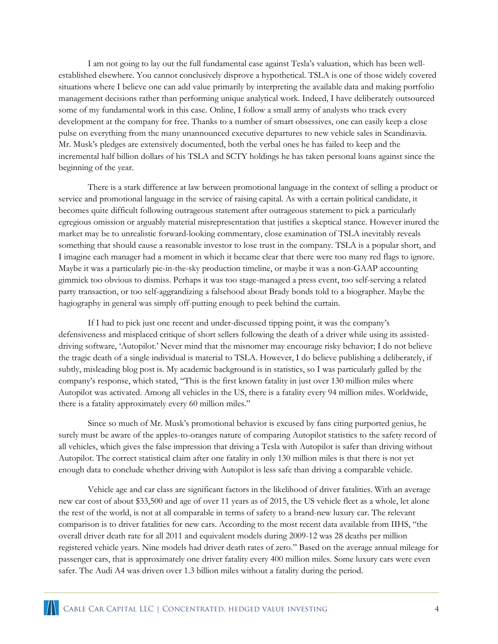I am not going to lay out the full fundamental case against Tesla's valuation, which has been wellestablished elsewhere. You cannot conclusively disprove a hypothetical. TSLA is one of those widely covered situations where I believe one can add value primarily by interpreting the available data and making portfolio management decisions rather than performing unique analytical work. Indeed, I have deliberately outsourced some of my fundamental work in this case. Online, I follow a small army of analysts who track every development at the company for free. Thanks to a number of smart obsessives, one can easily keep a close pulse on everything from the many unannounced executive departures to new vehicle sales in Scandinavia. Mr. Musk's pledges are extensively documented, both the verbal ones he has failed to keep and the incremental half billion dollars of his TSLA and SCTY holdings he has taken personal loans against since the beginning of the year.

There is a stark difference at law between promotional language in the context of selling a product or service and promotional language in the service of raising capital. As with a certain political candidate, it becomes quite difficult following outrageous statement after outrageous statement to pick a particularly egregious omission or arguably material misrepresentation that justifies a skeptical stance. However inured the market may be to unrealistic forward-looking commentary, close examination of TSLA inevitably reveals something that should cause a reasonable investor to lose trust in the company. TSLA is a popular short, and I imagine each manager had a moment in which it became clear that there were too many red flags to ignore. Maybe it was a particularly pie-in-the-sky production timeline, or maybe it was a non-GAAP accounting gimmick too obvious to dismiss. Perhaps it was too stage-managed a press event, too self-serving a related party transaction, or too self-aggrandizing a falsehood about Brady bonds told to a biographer. Maybe the hagiography in general was simply off-putting enough to peek behind the curtain.

If I had to pick just one recent and under-discussed tipping point, it was the company's defensiveness and misplaced critique of short sellers following the death of a driver while using its assisteddriving software, 'Autopilot.' Never mind that the misnomer may encourage risky behavior; I do not believe the tragic death of a single individual is material to TSLA. However, I do believe publishing a deliberately, if subtly, misleading blog post is. My academic background is in statistics, so I was particularly galled by the company's response, which stated, "This is the first known fatality in just over 130 million miles where Autopilot was activated. Among all vehicles in the US, there is a fatality every 94 million miles. Worldwide, there is a fatality approximately every 60 million miles."

Since so much of Mr. Musk's promotional behavior is excused by fans citing purported genius, he surely must be aware of the apples-to-oranges nature of comparing Autopilot statistics to the safety record of all vehicles, which gives the false impression that driving a Tesla with Autopilot is safer than driving without Autopilot. The correct statistical claim after one fatality in only 130 million miles is that there is not yet enough data to conclude whether driving with Autopilot is less safe than driving a comparable vehicle.

Vehicle age and car class are significant factors in the likelihood of driver fatalities. With an average new car cost of about \$33,500 and age of over 11 years as of 2015, the US vehicle fleet as a whole, let alone the rest of the world, is not at all comparable in terms of safety to a brand-new luxury car. The relevant comparison is to driver fatalities for new cars. According to the most recent data available from IIHS, "the overall driver death rate for all 2011 and equivalent models during 2009-12 was 28 deaths per million registered vehicle years. Nine models had driver death rates of zero." Based on the average annual mileage for passenger cars, that is approximately one driver fatality every 400 million miles. Some luxury cars were even safer. The Audi A4 was driven over 1.3 billion miles without a fatality during the period.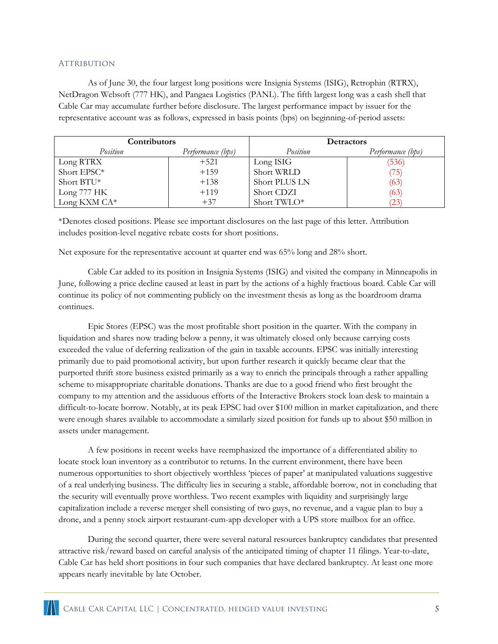## **ATTRIBUTION**

As of June 30, the four largest long positions were Insignia Systems (ISIG), Retrophin (RTRX), NetDragon Websoft (777 HK), and Pangaea Logistics (PANL). The fifth largest long was a cash shell that Cable Car may accumulate further before disclosure. The largest performance impact by issuer for the representative account was as follows, expressed in basis points (bps) on beginning-of-period assets:

| <b>Contributors</b> |                   | <b>Detractors</b> |                   |  |  |
|---------------------|-------------------|-------------------|-------------------|--|--|
| Position            | Performance (bps) | Position          | Performance (bps) |  |  |
| Long RTRX           | $+521$            | Long ISIG         | (536)             |  |  |
| Short EPSC*         | $+159$            | Short WRLD        | 75)               |  |  |
| Short BTU*          | $+138$            | Short PLUS LN     | (63)              |  |  |
| Long 777 HK         | $+119$            | Short CDZI        | (63)              |  |  |
| Long KXM CA*        | $+37$             | Short TWLO*       | (23)              |  |  |

\*Denotes closed positions. Please see important disclosures on the last page of this letter. Attribution includes position-level negative rebate costs for short positions.

Net exposure for the representative account at quarter end was 65% long and 28% short.

Cable Car added to its position in Insignia Systems (ISIG) and visited the company in Minneapolis in June, following a price decline caused at least in part by the actions of a highly fractious board. Cable Car will continue its policy of not commenting publicly on the investment thesis as long as the boardroom drama continues.

Epic Stores (EPSC) was the most profitable short position in the quarter. With the company in liquidation and shares now trading below a penny, it was ultimately closed only because carrying costs exceeded the value of deferring realization of the gain in taxable accounts. EPSC was initially interesting primarily due to paid promotional activity, but upon further research it quickly became clear that the purported thrift store business existed primarily as a way to enrich the principals through a rather appalling scheme to misappropriate charitable donations. Thanks are due to a good friend who first brought the company to my attention and the assiduous efforts of the Interactive Brokers stock loan desk to maintain a difficult-to-locate borrow. Notably, at its peak EPSC had over \$100 million in market capitalization, and there were enough shares available to accommodate a similarly sized position for funds up to about \$50 million in assets under management.

A few positions in recent weeks have reemphasized the importance of a differentiated ability to locate stock loan inventory as a contributor to returns. In the current environment, there have been numerous opportunities to short objectively worthless 'pieces of paper' at manipulated valuations suggestive of a real underlying business. The difficulty lies in securing a stable, affordable borrow, not in concluding that the security will eventually prove worthless. Two recent examples with liquidity and surprisingly large capitalization include a reverse merger shell consisting of two guys, no revenue, and a vague plan to buy a drone, and a penny stock airport restaurant-cum-app developer with a UPS store mailbox for an office.

During the second quarter, there were several natural resources bankruptcy candidates that presented attractive risk/reward based on careful analysis of the anticipated timing of chapter 11 filings. Year-to-date, Cable Car has held short positions in four such companies that have declared bankruptcy. At least one more appears nearly inevitable by late October.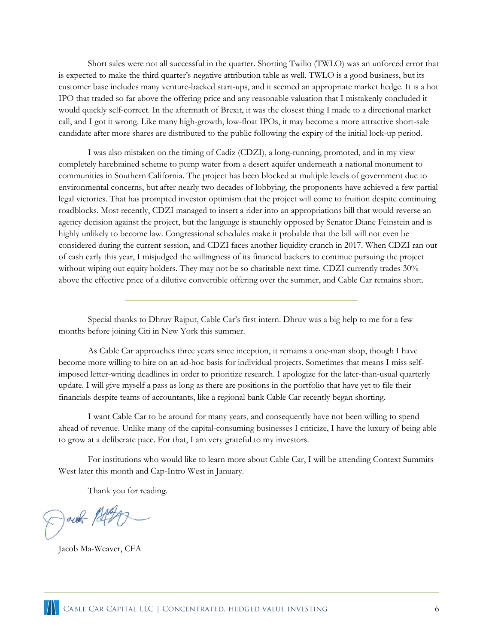Short sales were not all successful in the quarter. Shorting Twilio (TWLO) was an unforced error that is expected to make the third quarter's negative attribution table as well. TWLO is a good business, but its customer base includes many venture-backed start-ups, and it seemed an appropriate market hedge. It is a hot IPO that traded so far above the offering price and any reasonable valuation that I mistakenly concluded it would quickly self-correct. In the aftermath of Brexit, it was the closest thing I made to a directional market call, and I got it wrong. Like many high-growth, low-float IPOs, it may become a more attractive short-sale candidate after more shares are distributed to the public following the expiry of the initial lock-up period.

I was also mistaken on the timing of Cadiz (CDZI), a long-running, promoted, and in my view completely harebrained scheme to pump water from a desert aquifer underneath a national monument to communities in Southern California. The project has been blocked at multiple levels of government due to environmental concerns, but after nearly two decades of lobbying, the proponents have achieved a few partial legal victories. That has prompted investor optimism that the project will come to fruition despite continuing roadblocks. Most recently, CDZI managed to insert a rider into an appropriations bill that would reverse an agency decision against the project, but the language is staunchly opposed by Senator Diane Feinstein and is highly unlikely to become law. Congressional schedules make it probable that the bill will not even be considered during the current session, and CDZI faces another liquidity crunch in 2017. When CDZI ran out of cash early this year, I misjudged the willingness of its financial backers to continue pursuing the project without wiping out equity holders. They may not be so charitable next time. CDZI currently trades 30% above the effective price of a dilutive convertible offering over the summer, and Cable Car remains short.

Special thanks to Dhruv Rajput, Cable Car's first intern. Dhruv was a big help to me for a few months before joining Citi in New York this summer.

As Cable Car approaches three years since inception, it remains a one-man shop, though I have become more willing to hire on an ad-hoc basis for individual projects. Sometimes that means I miss selfimposed letter-writing deadlines in order to prioritize research. I apologize for the later-than-usual quarterly update. I will give myself a pass as long as there are positions in the portfolio that have yet to file their financials despite teams of accountants, like a regional bank Cable Car recently began shorting.

I want Cable Car to be around for many years, and consequently have not been willing to spend ahead of revenue. Unlike many of the capital-consuming businesses I criticize, I have the luxury of being able to grow at a deliberate pace. For that, I am very grateful to my investors.

For institutions who would like to learn more about Cable Car, I will be attending Context Summits West later this month and Cap-Intro West in January.

Thank you for reading.

Javok /Stage

Jacob Ma-Weaver, CFA